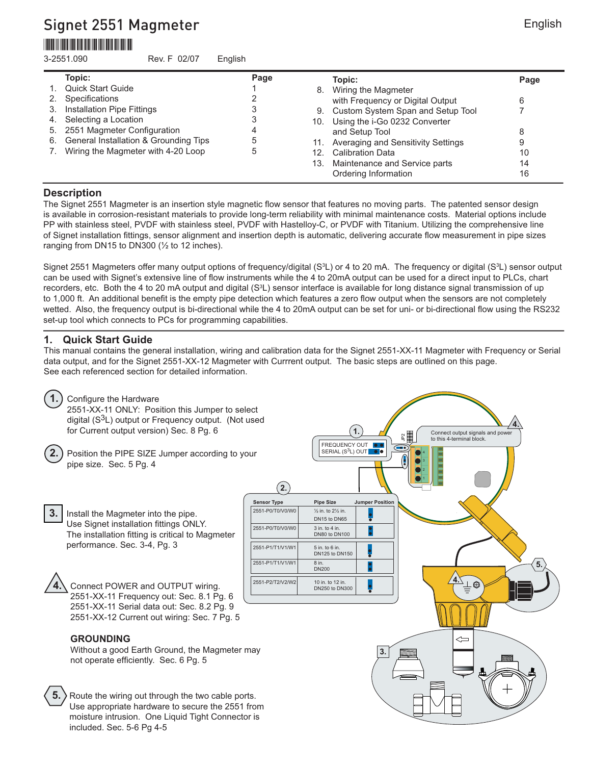# Signet 2551 Magmeter \*3-2551.090\*

3-2551.090 Rev. F 02/07 English

|    | Topic:                                | Page |     | Topic:                               | Page |
|----|---------------------------------------|------|-----|--------------------------------------|------|
|    | <b>Quick Start Guide</b>              |      |     | 8. Wiring the Magmeter               |      |
|    | Specifications                        |      |     | with Frequency or Digital Output     | 6    |
| 3. | <b>Installation Pipe Fittings</b>     |      |     | 9. Custom System Span and Setup Tool |      |
| 4. | Selecting a Location                  |      |     | 10. Using the i-Go 0232 Converter    |      |
| 5. | 2551 Magmeter Configuration           |      |     | and Setup Tool                       | 8    |
| 6. | General Installation & Grounding Tips |      | 11. | Averaging and Sensitivity Settings   | 9    |
|    | 7. Wiring the Magmeter with 4-20 Loop |      |     | 12. Calibration Data                 | 10   |
|    |                                       |      |     | 13. Maintenance and Service parts    | 14   |
|    |                                       |      |     | Ordering Information                 | 16   |
|    |                                       |      |     |                                      |      |

## **Description**

The Signet 2551 Magmeter is an insertion style magnetic flow sensor that features no moving parts. The patented sensor design is available in corrosion-resistant materials to provide long-term reliability with minimal maintenance costs. Material options include PP with stainless steel, PVDF with stainless steel, PVDF with Hastelloy-C, or PVDF with Titanium. Utilizing the comprehensive line of Signet installation fittings, sensor alignment and insertion depth is automatic, delivering accurate flow measurement in pipe sizes ranging from DN15 to DN300  $(\frac{1}{2})$  to 12 inches).

Signet 2551 Magmeters offer many output options of frequency/digital (S $^3$ L) or 4 to 20 mA. The frequency or digital (S $^3$ L) sensor output can be used with Signet's extensive line of flow instruments while the 4 to 20mA output can be used for a direct input to PLCs, chart recorders, etc. Both the 4 to 20 mA output and digital (S<sup>3</sup>L) sensor interface is available for long distance signal transmission of up to 1,000 ft. An additional benefit is the empty pipe detection which features a zero flow output when the sensors are not completely wetted. Also, the frequency output is bi-directional while the 4 to 20mA output can be set for uni- or bi-directional flow using the RS232 set-up tool which connects to PCs for programming capabilities.

## **1. Quick Start Guide**

This manual contains the general installation, wiring and calibration data for the Signet 2551-XX-11 Magmeter with Frequency or Serial data output, and for the Signet 2551-XX-12 Magmeter with Currrent output. The basic steps are outlined on this page. See each referenced section for detailed information.

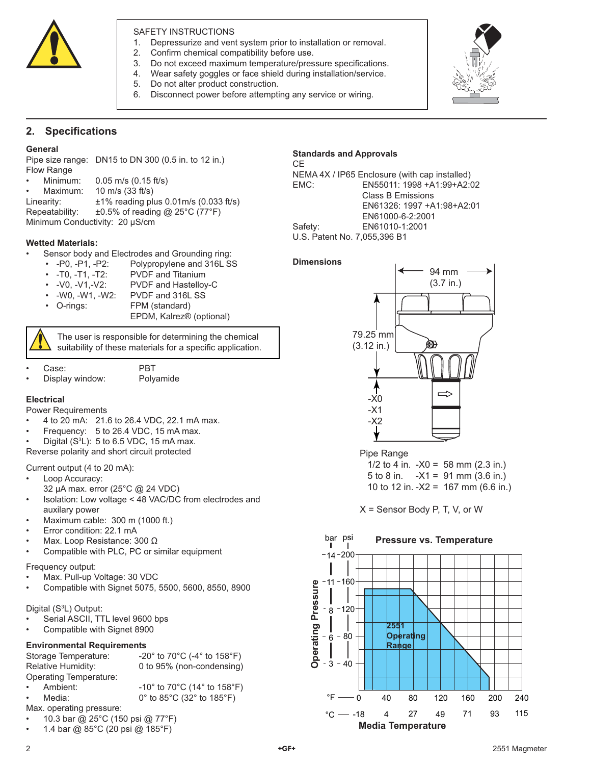

### SAFETY INSTRUCTIONS

- 1. Depressurize and vent system prior to installation or removal.
- 2. Confirm chemical compatibility before use.
- 3. Do not exceed maximum temperature/pressure specifications.
- 4. Wear safety goggles or face shield during installation/service.
- 5. Do not alter product construction.
- 6. Disconnect power before attempting any service or wiring.



## **2.** Specifications

#### **General**

Pipe size range: DN15 to DN 300 (0.5 in. to 12 in.) Flow Range • Minimum: 0.05 m/s (0.15 ft/s)

- 
- Maximum: 10 m/s (33 ft/s)

Linearity:  $±1\%$  reading plus  $0.01$ m/s  $(0.033$  ft/s) Repeatability: ±0.5% of reading @ 25°C (77°F)

Minimum Conductivity: 20 µS/cm

#### **Wetted Materials:**

- Sensor body and Electrodes and Grounding ring:
	- -P0, -P1, -P2: Polypropylene and 316L SS
	- -T0, -T1, -T2: PVDF and Titanium
	- -V0, -V1,-V2: PVDF and Hastelloy-C
	- -W0, -W1, -W2: PVDF and 316L SS
	- O-rings: FPM (standard)
		- EPDM, Kalrez® (optional)

The user is responsible for determining the chemical suitability of these materials for a specific application.

- Case: PBT
	- Display window: Polyamide

#### **Electrical**

Power Requirements

- 4 to 20 mA: 21.6 to 26.4 VDC, 22.1 mA max.
- Frequency: 5 to 26.4 VDC, 15 mA max.
- Digital  $(S^3L)$ : 5 to 6.5 VDC, 15 mA max.

Reverse polarity and short circuit protected

#### Current output (4 to 20 mA):

- Loop Accuracy:
- 32 µA max. error (25°C @ 24 VDC)
- Isolation: Low voltage < 48 VAC/DC from electrodes and auxilary power
- Maximum cable: 300 m (1000 ft.)
- Error condition: 22.1 mA
- Max. Loop Resistance: 300 Ω
- Compatible with PLC, PC or similar equipment
- Frequency output:
- Max. Pull-up Voltage: 30 VDC
- Compatible with Signet 5075, 5500, 5600, 8550, 8900

#### Digital (S<sup>3</sup>L) Output:

- Serial ASCII, TTL level 9600 bps
- Compatible with Signet 8900

#### **Environmental Requirements**

| Storage Temperature:    | -20 $^{\circ}$ to 70 $^{\circ}$ C (-4 $^{\circ}$ to 158 $^{\circ}$ F) |
|-------------------------|-----------------------------------------------------------------------|
| Relative Humidity:      | 0 to 95% (non-condensing)                                             |
| Operating Temperature:  |                                                                       |
| Ambient:<br>$\bullet$ . | -10 $^{\circ}$ to 70 $^{\circ}$ C (14 $^{\circ}$ to 158 $^{\circ}$ F) |
| Media:<br>$\bullet$ .   | 0° to 85°C (32° to 185°F)                                             |
|                         |                                                                       |

Max. operating pressure:

- 10.3 bar @ 25°C (150 psi @ 77°F)
- 1.4 bar @ 85°C (20 psi @ 185°F)

## **Standards and Approvals**

CE NEMA 4X / IP65 Enclosure (with cap installed) EMC: EN55011: 1998 +A1:99+A2:02 Class B Emissions EN61326: 1997 +A1:98+A2:01 EN61000-6-2:2001 Safety: EN61010-1:2001 U.S. Patent No. 7,055,396 B1

#### **Dimensions**



Pipe Range

1/2 to 4 in.  $-X0 = 58$  mm (2.3 in.) 5 to 8 in.  $-X1 = 91$  mm (3.6 in.) 10 to 12 in. -X2 = 167 mm (6.6 in.)

X = Sensor Body P, T, V, or W

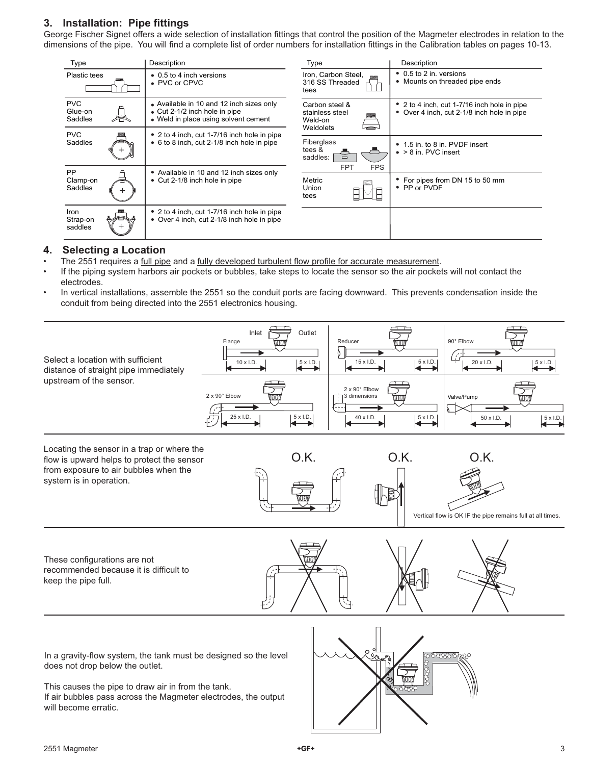## **3.** Installation: Pipe fittings

George Fischer Signet offers a wide selection of installation fittings that control the position of the Magmeter electrodes in relation to the dimensions of the pipe. You will find a complete list of order numbers for installation fittings in the Calibration tables on pages 10-13.

| Type                             | Description                                                                                                       | Type                                                      | Description                                                                               |
|----------------------------------|-------------------------------------------------------------------------------------------------------------------|-----------------------------------------------------------|-------------------------------------------------------------------------------------------|
| <b>Plastic tees</b>              | • 0.5 to 4 inch versions<br>• PVC or CPVC                                                                         | Iron, Carbon Steel,<br>316 SS Threaded<br>tees            | • 0.5 to 2 in. versions<br>• Mounts on threaded pipe ends                                 |
| <b>PVC</b><br>Glue-on<br>Saddles | • Available in 10 and 12 inch sizes only<br>• Cut 2-1/2 inch hole in pipe<br>• Weld in place using solvent cement | Carbon steel &<br>stainless steel<br>Weld-on<br>Weldolets | • 2 to 4 inch, cut 1-7/16 inch hole in pipe<br>• Over 4 inch, cut 2-1/8 inch hole in pipe |
| <b>PVC</b>                       | • 2 to 4 inch, cut 1-7/16 inch hole in pipe                                                                       |                                                           |                                                                                           |
| Saddles                          | • 6 to 8 inch, cut 2-1/8 inch hole in pipe                                                                        | Fiberglass<br>tees &<br>saddles:<br>$\Box$                | • 1.5 in. to 8 in. PVDF insert<br>$\bullet$ > 8 in. PVC insert                            |
| <b>PP</b>                        | • Available in 10 and 12 inch sizes only                                                                          | <b>FPT</b><br><b>FPS</b>                                  |                                                                                           |
| Clamp-on<br>Saddles              | • Cut 2-1/8 inch hole in pipe                                                                                     | Metric<br>Union<br>tees                                   | For pipes from DN 15 to 50 mm<br>• PP or PVDF                                             |
| Iron<br>Strap-on<br>saddles      | • 2 to 4 inch, cut 1-7/16 inch hole in pipe<br>Over 4 inch, cut 2-1/8 inch hole in pipe<br>٠                      |                                                           |                                                                                           |

## **4. Selecting a Location**

- The 2551 requires a full pipe and a fully developed turbulent flow profile for accurate measurement.
- If the piping system harbors air pockets or bubbles, take steps to locate the sensor so the air pockets will not contact the electrodes.
- In vertical installations, assemble the 2551 so the conduit ports are facing downward. This prevents condensation inside the conduit from being directed into the 2551 electronics housing.



If air bubbles pass across the Magmeter electrodes, the output will become erratic.

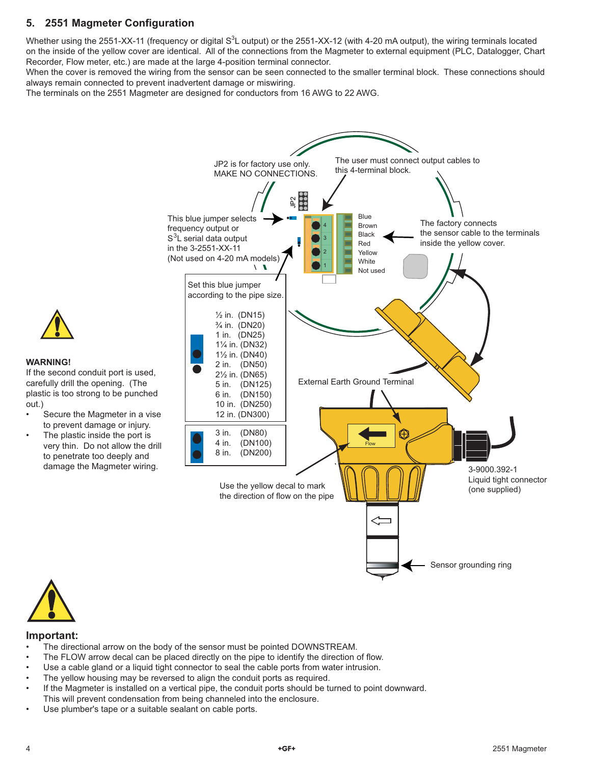## **5. 2551 Magmeter Configuration**

Whether using the 2551-XX-11 (frequency or digital S $3$ L output) or the 2551-XX-12 (with 4-20 mA output), the wiring terminals located on the inside of the yellow cover are identical. All of the connections from the Magmeter to external equipment (PLC, Datalogger, Chart Recorder, Flow meter, etc.) are made at the large 4-position terminal connector.

When the cover is removed the wiring from the sensor can be seen connected to the smaller terminal block. These connections should always remain connected to prevent inadvertent damage or miswiring.

The terminals on the 2551 Magmeter are designed for conductors from 16 AWG to 22 AWG.





#### **WARNING!**

If the second conduit port is used, carefully drill the opening. (The plastic is too strong to be punched out.)

- Secure the Magmeter in a vise to prevent damage or injury.
- The plastic inside the port is very thin. Do not allow the drill to penetrate too deeply and damage the Magmeter wiring.



### **Important:**

- The directional arrow on the body of the sensor must be pointed DOWNSTREAM.
- The FLOW arrow decal can be placed directly on the pipe to identify the direction of flow.
- Use a cable gland or a liquid tight connector to seal the cable ports from water intrusion.
- The yellow housing may be reversed to align the conduit ports as required.
- If the Magmeter is installed on a vertical pipe, the conduit ports should be turned to point downward. This will prevent condensation from being channeled into the enclosure.
- Use plumber's tape or a suitable sealant on cable ports.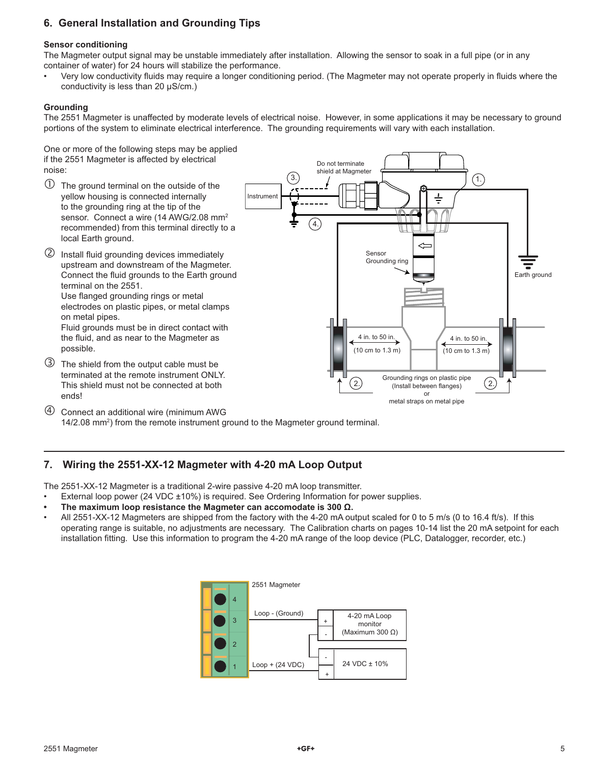## **6. General Installation and Grounding Tips**

### **Sensor conditioning**

The Magmeter output signal may be unstable immediately after installation. Allowing the sensor to soak in a full pipe (or in any container of water) for 24 hours will stabilize the performance.

Very low conductivity fluids may require a longer conditioning period. (The Magmeter may not operate properly in fluids where the conductivity is less than 20 µS/cm.)

#### **Grounding**

The 2551 Magmeter is unaffected by moderate levels of electrical noise. However, in some applications it may be necessary to ground portions of the system to eliminate electrical interference. The grounding requirements will vary with each installation.

One or more of the following steps may be applied if the 2551 Magmeter is affected by electrical noise:

- $\mathbb O$  The ground terminal on the outside of the yellow housing is connected internally to the grounding ring at the tip of the sensor. Connect a wire (14 AWG/2.08 mm<sup>2</sup> recommended) from this terminal directly to a local Earth ground.
- <sup>2</sup> Install fluid grounding devices immediately upstream and downstream of the Magmeter. Connect the fluid grounds to the Earth ground terminal on the 2551. Use flanged grounding rings or metal

electrodes on plastic pipes, or metal clamps on metal pipes. Fluid grounds must be in direct contact with

the fluid, and as near to the Magmeter as possible.

 The shield from the output cable must be terminated at the remote instrument ONLY. This shield must not be connected at both ends!



 Connect an additional wire (minimum AWG 14/2.08 mm<sup>2</sup>) from the remote instrument ground to the Magmeter ground terminal.

## **7. Wiring the 2551-XX-12 Magmeter with 4-20 mA Loop Output**

The 2551-XX-12 Magmeter is a traditional 2-wire passive 4-20 mA loop transmitter.

- External loop power (24 VDC ±10%) is required. See Ordering Information for power supplies.
- **The maximum loop resistance the Magmeter can accomodate is 300 Ω.**
- All 2551-XX-12 Magmeters are shipped from the factory with the 4-20 mA output scaled for 0 to 5 m/s (0 to 16.4 ft/s). If this operating range is suitable, no adjustments are necessary. The Calibration charts on pages 10-14 list the 20 mA setpoint for each installation fitting. Use this information to program the 4-20 mA range of the loop device (PLC, Datalogger, recorder, etc.)

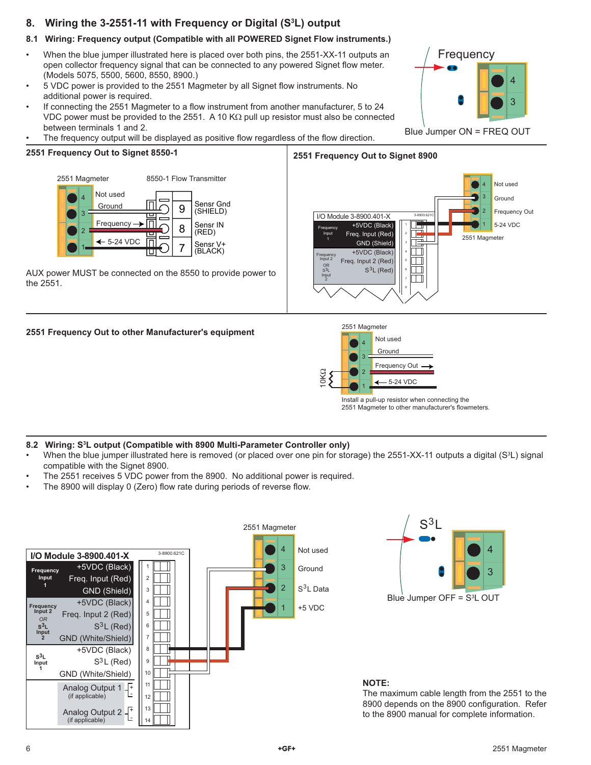# **8. Wiring the 3-2551-11 with Frequency or Digital (S3 L) output**

## **8.1 Wiring: Frequency output (Compatible with all POWERED Signet Flow instruments.)**

- When the blue jumper illustrated here is placed over both pins, the 2551-XX-11 outputs an open collector frequency signal that can be connected to any powered Signet flow meter. (Models 5075, 5500, 5600, 8550, 8900.)
- 5 VDC power is provided to the 2551 Magmeter by all Signet flow instruments. No additional power is required.
- If connecting the 2551 Magmeter to a flow instrument from another manufacturer, 5 to 24 VDC power must be provided to the 2551. A 10 K $\Omega$  pull up resistor must also be connected between terminals 1 and 2.
- The frequency output will be displayed as positive flow regardless of the flow direction.

#### **2551 Frequency Out to Signet 8550-1**



AUX power MUST be connected on the 8550 to provide power to the 2551.





### **2551 Frequency Out to other Manufacturer's equipment**



Install a pull-up resistor when connecting the 2551 Magmeter to other manufacturer's flowmeters.

### **8.2 Wiring: S3 L output (Compatible with 8900 Multi-Parameter Controller only)**

- When the blue jumper illustrated here is removed (or placed over one pin for storage) the 2551-XX-11 outputs a digital (S<sup>3</sup>L) signal compatible with the Signet 8900.
- The 2551 receives 5 VDC power from the 8900. No additional power is required.
- The 8900 will display 0 (Zero) flow rate during periods of reverse flow.





### **NOTE:**

The maximum cable length from the 2551 to the 8900 depends on the 8900 configuration. Refer to the 8900 manual for complete information.

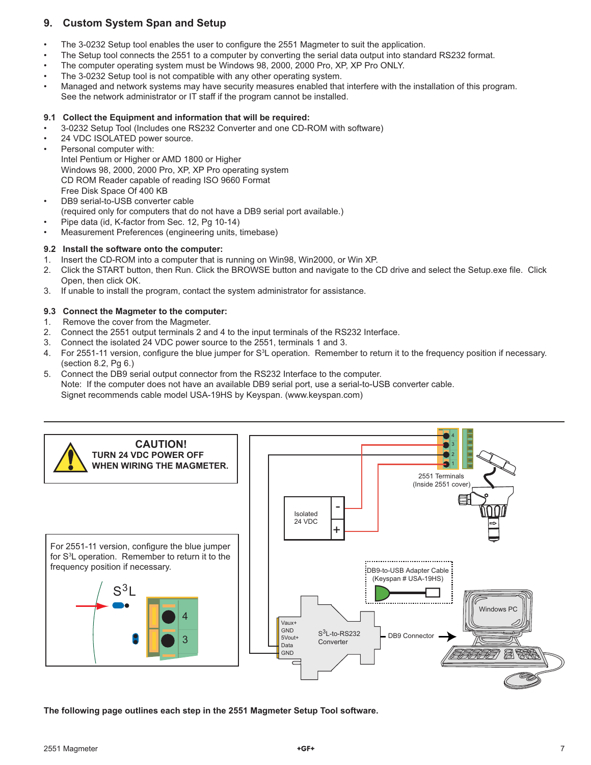## **9. Custom System Span and Setup**

- The 3-0232 Setup tool enables the user to configure the 2551 Magmeter to suit the application.
- The Setup tool connects the 2551 to a computer by converting the serial data output into standard RS232 format.
- The computer operating system must be Windows 98, 2000, 2000 Pro, XP, XP Pro ONLY.
- The 3-0232 Setup tool is not compatible with any other operating system.
- Managed and network systems may have security measures enabled that interfere with the installation of this program. See the network administrator or IT staff if the program cannot be installed.

### **9.1 Collect the Equipment and information that will be required:**

- 3-0232 Setup Tool (Includes one RS232 Converter and one CD-ROM with software)
- 24 VDC ISOLATED power source.
- Personal computer with: Intel Pentium or Higher or AMD 1800 or Higher Windows 98, 2000, 2000 Pro, XP, XP Pro operating system CD ROM Reader capable of reading ISO 9660 Format Free Disk Space Of 400 KB
- DB9 serial-to-USB converter cable (required only for computers that do not have a DB9 serial port available.)
- Pipe data (id, K-factor from Sec. 12, Pg 10-14)
- Measurement Preferences (engineering units, timebase)

### **9.2 Install the software onto the computer:**

- 1. Insert the CD-ROM into a computer that is running on Win98, Win2000, or Win XP.
- 2. Click the START button, then Run. Click the BROWSE button and navigate to the CD drive and select the Setup.exe file. Click Open, then click OK.
- 3. If unable to install the program, contact the system administrator for assistance.

### **9.3 Connect the Magmeter to the computer:**

- 1. Remove the cover from the Magmeter.
- 2. Connect the 2551 output terminals 2 and 4 to the input terminals of the RS232 Interface.
- 3. Connect the isolated 24 VDC power source to the 2551, terminals 1 and 3.
- 4. For 2551-11 version, configure the blue jumper for S<sup>3</sup>L operation. Remember to return it to the frequency position if necessary. (section 8.2, Pg 6.)
- 5. Connect the DB9 serial output connector from the RS232 Interface to the computer. Note: If the computer does not have an available DB9 serial port, use a serial-to-USB converter cable. Signet recommends cable model USA-19HS by Keyspan. (www.keyspan.com)



**The following page outlines each step in the 2551 Magmeter Setup Tool software.**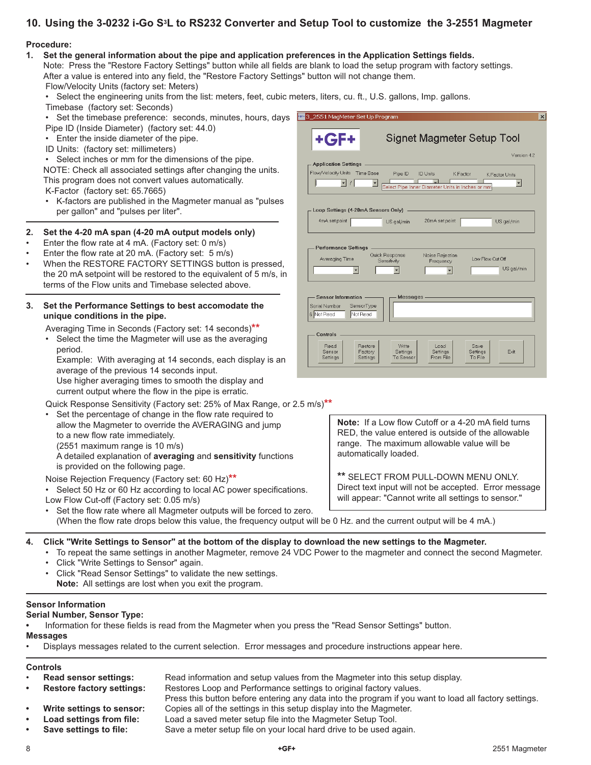## **10. Using the 3-0232 i-Go S3L to RS232 Converter and Setup Tool to customize the 3-2551 Magmeter**

### **Procedure:**

#### 1. Set the general information about the pipe and application preferences in the Application Settings fields.

Note: Press the "Restore Factory Settings" button while all fields are blank to load the setup program with factory settings. After a value is entered into any field, the "Restore Factory Settings" button will not change them.

Flow/Velocity Units (factory set: Meters)

• Select the engineering units from the list: meters, feet, cubic meters, liters, cu. ft., U.S. gallons, Imp. gallons.

- Timebase (factory set: Seconds)
- Set the timebase preference: seconds, minutes, hours, days  $\mathbb{F}$ Pipe ID (Inside Diameter) (factory set: 44.0)
- Enter the inside diameter of the pipe.
- ID Units: (factory set: millimeters)

• Select inches or mm for the dimensions of the pipe. NOTE: Check all associated settings after changing the units. This program does not convert values automatically.

K-Factor (factory set: 65.7665)

• K-factors are published in the Magmeter manual as "pulses per gallon" and "pulses per liter".

### **2. Set the 4-20 mA span (4-20 mA output models only)**

- Enter the flow rate at 4 mA. (Factory set: 0 m/s)
- Enter the flow rate at 20 mA. (Factory set: 5 m/s)
- When the RESTORE FACTORY SETTINGS button is pressed, the 20 mA setpoint will be restored to the equivalent of 5 m/s, in terms of the Flow units and Timebase selected above.

#### **3. Set the Performance Settings to best accomodate the unique conditions in the pipe.**

Averaging Time in Seconds (Factory set: 14 seconds)**\*\***

• Select the time the Magmeter will use as the averaging period.

 Example: With averaging at 14 seconds, each display is an average of the previous 14 seconds input. Use higher averaging times to smooth the display and

current output where the flow in the pipe is erratic.

- Quick Response Sensitivity (Factory set: 25% of Max Range, or 2.5 m/s)**\*\***
- Set the percentage of change in the flow rate required to allow the Magmeter to override the AVERAGING and jump to a new flow rate immediately. (2551 maximum range is 10 m/s)

 A detailed explanation of **averaging** and **sensitivity** functions is provided on the following page.

Noise Rejection Frequency (Factory set: 60 Hz)**\*\***

• Select 50 Hz or 60 Hz according to local AC power specifications. Low Flow Cut-off (Factory set: 0.05 m/s)

Set the flow rate where all Magmeter outputs will be forced to zero. (When the flow rate drops below this value, the frequency output will be 0 Hz. and the current output will be 4 mA.)

**4. Click "Write Settings to Sensor" at the bottom of the display to download the new settings to the Magmeter.**

- To repeat the same settings in another Magmeter, remove 24 VDC Power to the magmeter and connect the second Magmeter.
	- Click "Write Settings to Sensor" again.
	- Click "Read Sensor Settings" to validate the new settings. **Note:** All settings are lost when you exit the program.

### **Sensor Information**

### **Serial Number, Sensor Type:**

Information for these fields is read from the Magmeter when you press the "Read Sensor Settings" button.

#### **Messages**

• Displays messages related to the current selection. Error messages and procedure instructions appear here.

## **Controls**

- **Read sensor settings:** Read information and setup values from the Magmeter into this setup display.
- **Restore factory settings:** Restores Loop and Performance settings to original factory values.
	- Press this button before entering any data into the program if you want to load all factory settings.
- **Write settings to sensor:** Copies all of the settings in this setup display into the Magmeter.
- 
- 
- **Load settings from file:** Load a saved meter setup file into the Magmeter Setup Tool.
	- **Save settings to file:** Save a meter setup file on your local hard drive to be used again.

| 3_2551 MagMeter Set Up Program<br>$\boldsymbol{\mathsf{x}}$                                                                                                                               |
|-------------------------------------------------------------------------------------------------------------------------------------------------------------------------------------------|
| <b>+GF+</b><br>Signet Magmeter Setup Tool<br>Version 4.2                                                                                                                                  |
| - Application Settings                                                                                                                                                                    |
| Flow/Velocity Units Time Base<br>Pipe ID<br><b>ID Units</b><br>K Factor<br>K Factor Units<br>↽<br>$\blacktriangledown$<br>$\prime$<br>Select Pipe Inner Diameter Units in Inches or mm    |
| Loop Settings (4-20mA Sensors Only)                                                                                                                                                       |
| 4mA set point<br>20mA set point<br>US gal/min<br>US gal/min                                                                                                                               |
| <b>Performance Settings</b><br>Quick Response<br>Noise Rejection<br>Low Flow Cut Off<br>Averaging Time<br>Sensitivity<br>Frequency<br>US gal/min                                          |
| Sensor Information -<br>Messages -<br>SensorType<br>Serial Number<br>6 Not Read<br>Not Read                                                                                               |
| Controls<br>Read<br>Restore<br>Write<br>Load<br>Save<br>Sensor<br>Settinas<br>Exit<br>Factory<br>Settings<br>Settings<br>To Sensor<br><b>From File</b><br>To File<br>Settings<br>Settings |

**Note:** If a Low flow Cutoff or a 4-20 mA field turns RED, the value entered is outside of the allowable range. The maximum allowable value will be

**\*\*** SELECT FROM PULL-DOWN MENU ONLY. Direct text input will not be accepted. Error message will appear: "Cannot write all settings to sensor."

automatically loaded.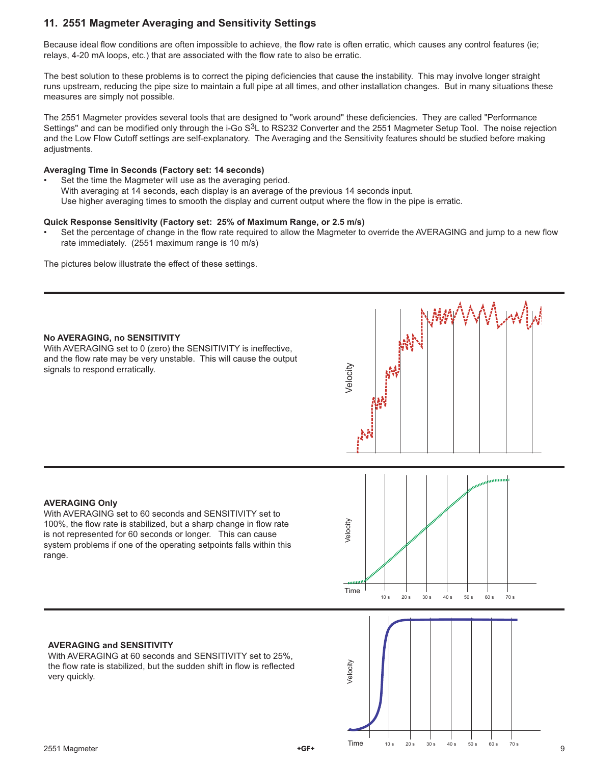## **11. 2551 Magmeter Averaging and Sensitivity Settings**

Because ideal flow conditions are often impossible to achieve, the flow rate is often erratic, which causes any control features (ie; relays, 4-20 mA loops, etc.) that are associated with the flow rate to also be erratic.

The best solution to these problems is to correct the piping deficiencies that cause the instability. This may involve longer straight runs upstream, reducing the pipe size to maintain a full pipe at all times, and other installation changes. But in many situations these measures are simply not possible.

The 2551 Magmeter provides several tools that are designed to "work around" these deficiencies. They are called "Performance Settings" and can be modified only through the i-Go S<sup>3</sup>L to RS232 Converter and the 2551 Magmeter Setup Tool. The noise rejection and the Low Flow Cutoff settings are self-explanatory. The Averaging and the Sensitivity features should be studied before making adjustments.

#### **Averaging Time in Seconds (Factory set: 14 seconds)**

Set the time the Magmeter will use as the averaging period. With averaging at 14 seconds, each display is an average of the previous 14 seconds input. Use higher averaging times to smooth the display and current output where the flow in the pipe is erratic.

#### **Quick Response Sensitivity (Factory set: 25% of Maximum Range, or 2.5 m/s)**

Set the percentage of change in the flow rate required to allow the Magmeter to override the AVERAGING and jump to a new flow rate immediately. (2551 maximum range is 10 m/s)

The pictures below illustrate the effect of these settings.

#### **No AVERAGING, no SENSITIVITY**

With AVERAGING set to 0 (zero) the SENSITIVITY is ineffective, and the flow rate may be very unstable. This will cause the output signals to respond erratically.



#### **AVERAGING Only**

With AVERAGING set to 60 seconds and SENSITIVITY set to 100%, the flow rate is stabilized, but a sharp change in flow rate is not represented for 60 seconds or longer. This can cause system problems if one of the operating setpoints falls within this range.



### **AVERAGING and SENSITIVITY**

With AVERAGING at 60 seconds and SENSITIVITY set to 25%. the flow rate is stabilized, but the sudden shift in flow is reflected very quickly.

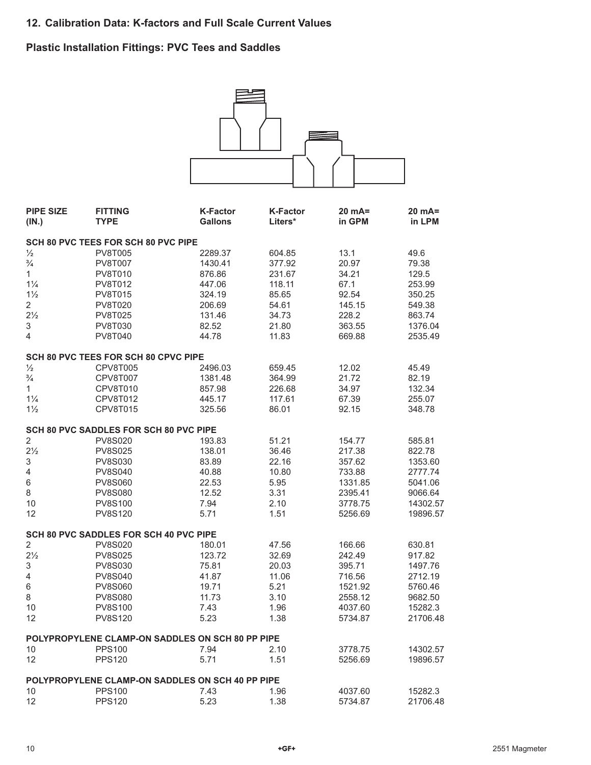# **Plastic Installation Fittings: PVC Tees and Saddles**



| <b>PIPE SIZE</b> | <b>FITTING</b>                                   | <b>K-Factor</b> | <b>K-Factor</b> | 20 mA=  | $20 mA =$ |
|------------------|--------------------------------------------------|-----------------|-----------------|---------|-----------|
| (IN.)            | <b>TYPE</b>                                      | <b>Gallons</b>  | Liters*         | in GPM  | in LPM    |
|                  | SCH 80 PVC TEES FOR SCH 80 PVC PIPE              |                 |                 |         |           |
| $\frac{1}{2}$    | <b>PV8T005</b>                                   | 2289.37         | 604.85          | 13.1    | 49.6      |
| $\frac{3}{4}$    | <b>PV8T007</b>                                   | 1430.41         | 377.92          | 20.97   | 79.38     |
| $\mathbf{1}$     | <b>PV8T010</b>                                   | 876.86          | 231.67          | 34.21   | 129.5     |
| $1\frac{1}{4}$   | <b>PV8T012</b>                                   | 447.06          | 118.11          | 67.1    | 253.99    |
| $1\frac{1}{2}$   | <b>PV8T015</b>                                   | 324.19          | 85.65           | 92.54   | 350.25    |
| $\overline{2}$   | <b>PV8T020</b>                                   | 206.69          | 54.61           | 145.15  | 549.38    |
| $2\frac{1}{2}$   | <b>PV8T025</b>                                   | 131.46          | 34.73           | 228.2   | 863.74    |
| 3                | PV8T030                                          | 82.52           | 21.80           | 363.55  | 1376.04   |
| 4                | <b>PV8T040</b>                                   | 44.78           | 11.83           | 669.88  | 2535.49   |
|                  | SCH 80 PVC TEES FOR SCH 80 CPVC PIPE             |                 |                 |         |           |
| $\frac{1}{2}$    | CPV8T005                                         | 2496.03         | 659.45          | 12.02   | 45.49     |
| $\frac{3}{4}$    | CPV8T007                                         | 1381.48         | 364.99          | 21.72   | 82.19     |
| 1                | CPV8T010                                         | 857.98          | 226.68          | 34.97   | 132.34    |
| $1\frac{1}{4}$   | CPV8T012                                         | 445.17          | 117.61          | 67.39   | 255.07    |
| $1\frac{1}{2}$   | <b>CPV8T015</b>                                  | 325.56          | 86.01           | 92.15   | 348.78    |
|                  | <b>SCH 80 PVC SADDLES FOR SCH 80 PVC PIPE</b>    |                 |                 |         |           |
| $\sqrt{2}$       | <b>PV8S020</b>                                   | 193.83          | 51.21           | 154.77  | 585.81    |
| $2\frac{1}{2}$   | <b>PV8S025</b>                                   | 138.01          | 36.46           | 217.38  | 822.78    |
| $\,$ 3 $\,$      | <b>PV8S030</b>                                   | 83.89           | 22.16           | 357.62  | 1353.60   |
| 4                | <b>PV8S040</b>                                   | 40.88           | 10.80           | 733.88  | 2777.74   |
| $\,$ 6 $\,$      | <b>PV8S060</b>                                   | 22.53           | 5.95            | 1331.85 | 5041.06   |
| 8                | <b>PV8S080</b>                                   | 12.52           | 3.31            | 2395.41 | 9066.64   |
| 10               | <b>PV8S100</b>                                   | 7.94            | 2.10            | 3778.75 | 14302.57  |
| 12               | <b>PV8S120</b>                                   | 5.71            | 1.51            | 5256.69 | 19896.57  |
|                  | SCH 80 PVC SADDLES FOR SCH 40 PVC PIPE           |                 |                 |         |           |
| $\overline{2}$   | <b>PV8S020</b>                                   | 180.01          | 47.56           | 166.66  | 630.81    |
| $2\frac{1}{2}$   | <b>PV8S025</b>                                   | 123.72          | 32.69           | 242.49  | 917.82    |
| $\sqrt{3}$       | <b>PV8S030</b>                                   | 75.81           | 20.03           | 395.71  | 1497.76   |
| 4                | <b>PV8S040</b>                                   | 41.87           | 11.06           | 716.56  | 2712.19   |
| $\,$ 6 $\,$      | <b>PV8S060</b>                                   | 19.71           | 5.21            | 1521.92 | 5760.46   |
| 8                | <b>PV8S080</b>                                   | 11.73           | 3.10            | 2558.12 | 9682.50   |
| 10               | <b>PV8S100</b>                                   | 7.43            | 1.96            | 4037.60 | 15282.3   |
| 12               | <b>PV8S120</b>                                   | 5.23            | 1.38            | 5734.87 | 21706.48  |
|                  |                                                  |                 |                 |         |           |
|                  | POLYPROPYLENE CLAMP-ON SADDLES ON SCH 80 PP PIPE |                 |                 |         |           |
| 10               | <b>PPS100</b>                                    | 7.94            | 2.10            | 3778.75 | 14302.57  |
| 12               | <b>PPS120</b>                                    | 5.71            | 1.51            | 5256.69 | 19896.57  |
|                  | POLYPROPYLENE CLAMP-ON SADDLES ON SCH 40 PP PIPE |                 |                 |         |           |
| 10               | <b>PPS100</b>                                    | 7.43            | 1.96            | 4037.60 | 15282.3   |
| 12               | <b>PPS120</b>                                    | 5.23            | 1.38            | 5734.87 | 21706.48  |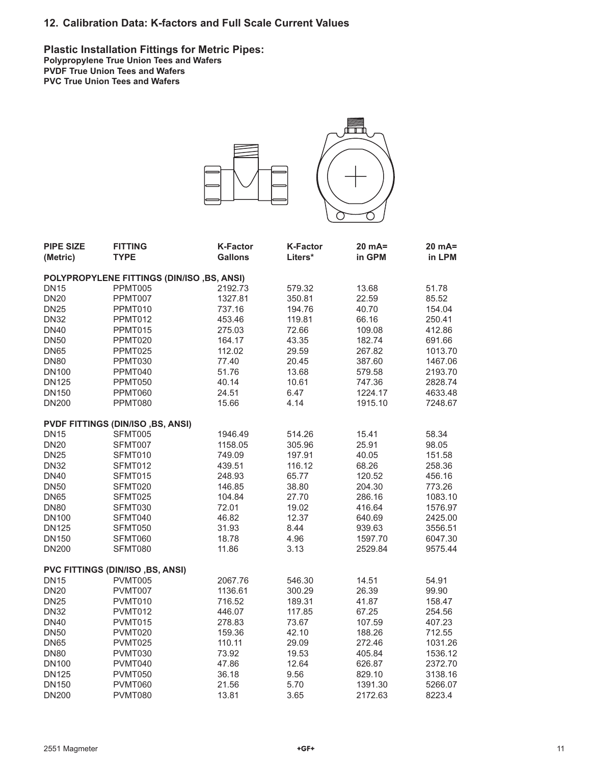**Plastic Installation Fittings for Metric Pipes: Polypropylene True Union Tees and Wafers PVDF True Union Tees and Wafers PVC True Union Tees and Wafers**



| <b>PIPE SIZE</b><br>(Metric) | <b>FITTING</b><br><b>TYPE</b>              | <b>K-Factor</b><br><b>Gallons</b> | <b>K-Factor</b><br>Liters* | 20 mA=<br>in GPM | 20 mA=<br>in LPM |  |  |  |  |
|------------------------------|--------------------------------------------|-----------------------------------|----------------------------|------------------|------------------|--|--|--|--|
|                              | POLYPROPYLENE FITTINGS (DIN/ISO, BS, ANSI) |                                   |                            |                  |                  |  |  |  |  |
| <b>DN15</b>                  | PPMT005                                    | 2192.73                           | 579.32                     | 13.68            | 51.78            |  |  |  |  |
| <b>DN20</b>                  | PPMT007                                    | 1327.81                           | 350.81                     | 22.59            | 85.52            |  |  |  |  |
| <b>DN25</b>                  | PPMT010                                    | 737.16                            | 194.76                     | 40.70            | 154.04           |  |  |  |  |
| <b>DN32</b>                  | PPMT012                                    | 453.46                            | 119.81                     | 66.16            | 250.41           |  |  |  |  |
| <b>DN40</b>                  | PPMT015                                    | 275.03                            | 72.66                      | 109.08           | 412.86           |  |  |  |  |
| <b>DN50</b>                  | PPMT020                                    | 164.17                            | 43.35                      | 182.74           | 691.66           |  |  |  |  |
| <b>DN65</b>                  | PPMT025                                    | 112.02                            | 29.59                      | 267.82           | 1013.70          |  |  |  |  |
| <b>DN80</b>                  | PPMT030                                    | 77.40                             | 20.45                      | 387.60           | 1467.06          |  |  |  |  |
| <b>DN100</b>                 | PPMT040                                    | 51.76                             | 13.68                      | 579.58           | 2193.70          |  |  |  |  |
| <b>DN125</b>                 | PPMT050                                    | 40.14                             | 10.61                      | 747.36           | 2828.74          |  |  |  |  |
| <b>DN150</b>                 | PPMT060                                    | 24.51                             | 6.47                       | 1224.17          | 4633.48          |  |  |  |  |
| <b>DN200</b>                 | PPMT080                                    | 15.66                             | 4.14                       | 1915.10          | 7248.67          |  |  |  |  |
|                              | <b>PVDF FITTINGS (DIN/ISO, BS, ANSI)</b>   |                                   |                            |                  |                  |  |  |  |  |
| <b>DN15</b>                  | SFMT005                                    | 1946.49                           | 514.26                     | 15.41            | 58.34            |  |  |  |  |
| <b>DN20</b>                  | SFMT007                                    | 1158.05                           | 305.96                     | 25.91            | 98.05            |  |  |  |  |
| <b>DN25</b>                  | SFMT010                                    | 749.09                            | 197.91                     | 40.05            | 151.58           |  |  |  |  |
| <b>DN32</b>                  | SFMT012                                    | 439.51                            | 116.12                     | 68.26            | 258.36           |  |  |  |  |
| <b>DN40</b>                  | SFMT015                                    | 248.93                            | 65.77                      | 120.52           | 456.16           |  |  |  |  |
| <b>DN50</b>                  | SFMT020                                    | 146.85                            | 38.80                      | 204.30           | 773.26           |  |  |  |  |
| <b>DN65</b>                  | SFMT025                                    | 104.84                            | 27.70                      | 286.16           | 1083.10          |  |  |  |  |
| <b>DN80</b>                  | SFMT030                                    | 72.01                             | 19.02                      | 416.64           | 1576.97          |  |  |  |  |
| <b>DN100</b>                 | SFMT040                                    | 46.82                             | 12.37                      | 640.69           | 2425.00          |  |  |  |  |
| <b>DN125</b>                 | SFMT050                                    | 31.93                             | 8.44                       | 939.63           | 3556.51          |  |  |  |  |
| <b>DN150</b>                 | SFMT060                                    | 18.78                             | 4.96                       | 1597.70          | 6047.30          |  |  |  |  |
| <b>DN200</b>                 | SFMT080                                    | 11.86                             | 3.13                       | 2529.84          | 9575.44          |  |  |  |  |
|                              | PVC FITTINGS (DIN/ISO, BS, ANSI)           |                                   |                            |                  |                  |  |  |  |  |
| <b>DN15</b>                  | PVMT005                                    | 2067.76                           | 546.30                     | 14.51            | 54.91            |  |  |  |  |
| <b>DN20</b>                  | PVMT007                                    | 1136.61                           | 300.29                     | 26.39            | 99.90            |  |  |  |  |
| <b>DN25</b>                  | PVMT010                                    | 716.52                            | 189.31                     | 41.87            | 158.47           |  |  |  |  |
| <b>DN32</b>                  | PVMT012                                    | 446.07                            | 117.85                     | 67.25            | 254.56           |  |  |  |  |
| <b>DN40</b>                  | PVMT015                                    | 278.83                            | 73.67                      | 107.59           | 407.23           |  |  |  |  |
| <b>DN50</b>                  | PVMT020                                    | 159.36                            | 42.10                      | 188.26           | 712.55           |  |  |  |  |
| <b>DN65</b>                  | PVMT025                                    | 110.11                            | 29.09                      | 272.46           | 1031.26          |  |  |  |  |
| <b>DN80</b>                  | PVMT030                                    | 73.92                             | 19.53                      | 405.84           | 1536.12          |  |  |  |  |
| <b>DN100</b>                 | PVMT040                                    | 47.86                             | 12.64                      | 626.87           | 2372.70          |  |  |  |  |
| <b>DN125</b>                 | PVMT050                                    | 36.18                             | 9.56                       | 829.10           | 3138.16          |  |  |  |  |
| <b>DN150</b>                 | PVMT060                                    | 21.56                             | 5.70                       | 1391.30          | 5266.07          |  |  |  |  |
| <b>DN200</b>                 | PVMT080                                    | 13.81                             | 3.65                       | 2172.63          | 8223.4           |  |  |  |  |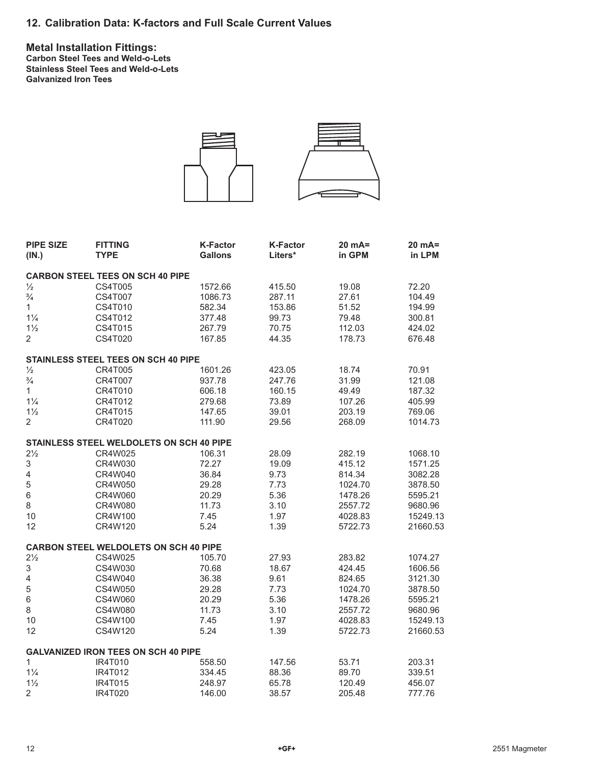**Metal Installation Fittings: Carbon Steel Tees and Weld-o-Lets Stainless Steel Tees and Weld-o-Lets Galvanized Iron Tees**



| <b>PIPE SIZE</b><br>(IN.) | <b>FITTING</b><br><b>TYPE</b>                   | <b>K-Factor</b><br><b>Gallons</b> | <b>K-Factor</b><br>Liters* | $20 mA =$<br>in GPM | 20 mA=<br>in LPM |
|---------------------------|-------------------------------------------------|-----------------------------------|----------------------------|---------------------|------------------|
|                           | <b>CARBON STEEL TEES ON SCH 40 PIPE</b>         |                                   |                            |                     |                  |
| $\frac{1}{2}$             | CS4T005                                         | 1572.66                           | 415.50                     | 19.08               | 72.20            |
| $\frac{3}{4}$             | <b>CS4T007</b>                                  | 1086.73                           | 287.11                     | 27.61               | 104.49           |
| $\mathbf{1}$              | CS4T010                                         | 582.34                            | 153.86                     | 51.52               | 194.99           |
| $1\frac{1}{4}$            | CS4T012                                         | 377.48                            | 99.73                      | 79.48               | 300.81           |
| $1\frac{1}{2}$            | CS4T015                                         | 267.79                            | 70.75                      | 112.03              | 424.02           |
| $\overline{2}$            | CS4T020                                         | 167.85                            | 44.35                      | 178.73              | 676.48           |
|                           | STAINLESS STEEL TEES ON SCH 40 PIPE             |                                   |                            |                     |                  |
| $\frac{1}{2}$             | <b>CR4T005</b>                                  | 1601.26                           | 423.05                     | 18.74               | 70.91            |
| $\frac{3}{4}$             | CR4T007                                         | 937.78                            | 247.76                     | 31.99               | 121.08           |
| $\mathbf{1}$              | CR4T010                                         | 606.18                            | 160.15                     | 49.49               | 187.32           |
| $1\frac{1}{4}$            | CR4T012                                         | 279.68                            | 73.89                      | 107.26              | 405.99           |
| $1\frac{1}{2}$            | CR4T015                                         | 147.65                            | 39.01                      | 203.19              | 769.06           |
| $\overline{2}$            | CR4T020                                         | 111.90                            | 29.56                      | 268.09              | 1014.73          |
|                           | <b>STAINLESS STEEL WELDOLETS ON SCH 40 PIPE</b> |                                   |                            |                     |                  |
| $2\frac{1}{2}$            | CR4W025                                         | 106.31                            | 28.09                      | 282.19              | 1068.10          |
| $\ensuremath{\mathsf{3}}$ | CR4W030                                         | 72.27                             | 19.09                      | 415.12              | 1571.25          |
| $\overline{\mathcal{L}}$  | CR4W040                                         | 36.84                             | 9.73                       | 814.34              | 3082.28          |
| 5                         | CR4W050                                         | 29.28                             | 7.73                       | 1024.70             | 3878.50          |
| $\,6$                     | CR4W060                                         | 20.29                             | 5.36                       | 1478.26             | 5595.21          |
| $\,8\,$                   | CR4W080                                         | 11.73                             | 3.10                       | 2557.72             | 9680.96          |
| 10                        | CR4W100                                         | 7.45                              | 1.97                       | 4028.83             | 15249.13         |
| 12                        | CR4W120                                         | 5.24                              | 1.39                       | 5722.73             | 21660.53         |
|                           | <b>CARBON STEEL WELDOLETS ON SCH 40 PIPE</b>    |                                   |                            |                     |                  |
| $2\frac{1}{2}$            | CS4W025                                         | 105.70                            | 27.93                      | 283.82              | 1074.27          |
| 3                         | CS4W030                                         | 70.68                             | 18.67                      | 424.45              | 1606.56          |
| $\overline{4}$            | CS4W040                                         | 36.38                             | 9.61                       | 824.65              | 3121.30          |
| $\mathbf 5$               | CS4W050                                         | 29.28                             | 7.73                       | 1024.70             | 3878.50          |
| 6                         | CS4W060                                         | 20.29                             | 5.36                       | 1478.26             | 5595.21          |
| 8                         | CS4W080                                         | 11.73                             | 3.10                       | 2557.72             | 9680.96          |
| 10                        | CS4W100                                         | 7.45                              | 1.97                       | 4028.83             | 15249.13         |
| 12                        | CS4W120                                         | 5.24                              | 1.39                       | 5722.73             | 21660.53         |
|                           | <b>GALVANIZED IRON TEES ON SCH 40 PIPE</b>      |                                   |                            |                     |                  |
| $\mathbf{1}$              | <b>IR4T010</b>                                  | 558.50                            | 147.56                     | 53.71               | 203.31           |
| $1\frac{1}{4}$            | IR4T012                                         | 334.45                            | 88.36                      | 89.70               | 339.51           |
| $1\frac{1}{2}$            | IR4T015                                         | 248.97                            | 65.78                      | 120.49              | 456.07           |
| $\overline{2}$            | IR4T020                                         | 146.00                            | 38.57                      | 205.48              | 777.76           |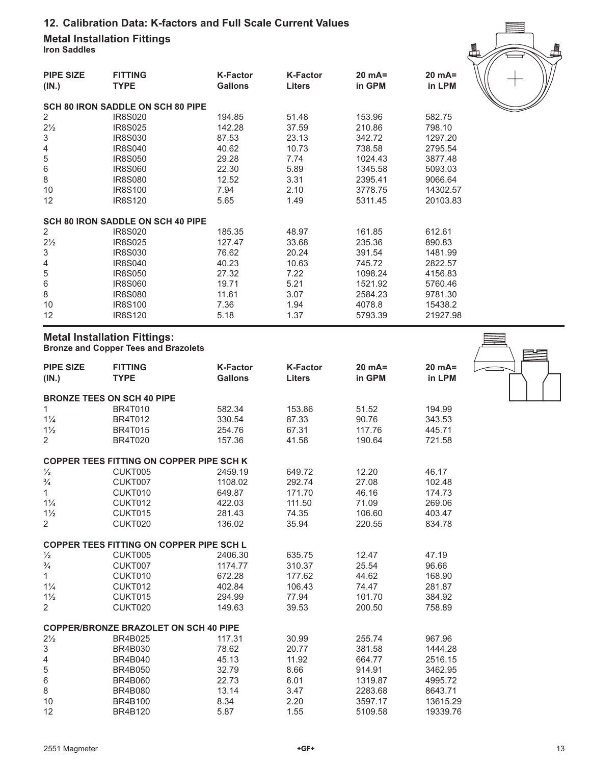**Metal Installation Fittings Iron Saddles**

| <b>PIPE SIZE</b><br>(IN.) | <b>FITTING</b><br><b>TYPE</b>            | <b>K-Factor</b><br><b>Gallons</b> | <b>K-Factor</b><br><b>Liters</b> | $20 mA=$<br>in GPM | $20 mA=$<br>in LPM |
|---------------------------|------------------------------------------|-----------------------------------|----------------------------------|--------------------|--------------------|
|                           | <b>SCH 80 IRON SADDLE ON SCH 80 PIPE</b> |                                   |                                  |                    |                    |
| 2                         | IR8S020                                  | 194.85                            | 51.48                            | 153.96             | 582.75             |
| $2\frac{1}{2}$            | <b>IR8S025</b>                           | 142.28                            | 37.59                            | 210.86             | 798.10             |
| 3                         | IR8S030                                  | 87.53                             | 23.13                            | 342.72             | 1297.20            |
| 4                         | <b>IR8S040</b>                           | 40.62                             | 10.73                            | 738.58             | 2795.54            |
| 5                         | <b>IR8S050</b>                           | 29.28                             | 7.74                             | 1024.43            | 3877.48            |
| 6                         | <b>IR8S060</b>                           | 22.30                             | 5.89                             | 1345.58            | 5093.03            |
| 8                         | <b>IR8S080</b>                           | 12.52                             | 3.31                             | 2395.41            | 9066.64            |
| 10                        | <b>IR8S100</b>                           | 7.94                              | 2.10                             | 3778.75            | 14302.57           |
| 12                        | <b>IR8S120</b>                           | 5.65                              | 1.49                             | 5311.45            | 20103.83           |
|                           | <b>SCH 80 IRON SADDLE ON SCH 40 PIPE</b> |                                   |                                  |                    |                    |
| 2                         | IR8S020                                  | 185.35                            | 48.97                            | 161.85             | 612.61             |
| $2\frac{1}{2}$            | <b>IR8S025</b>                           | 127.47                            | 33.68                            | 235.36             | 890.83             |
| 3                         | IR8S030                                  | 76.62                             | 20.24                            | 391.54             | 1481.99            |
| 4                         | <b>IR8S040</b>                           | 40.23                             | 10.63                            | 745.72             | 2822.57            |
| 5                         | <b>IR8S050</b>                           | 27.32                             | 7.22                             | 1098.24            | 4156.83            |
| 6                         | <b>IR8S060</b>                           | 19.71                             | 5.21                             | 1521.92            | 5760.46            |
| 8                         | IR8S080                                  | 11.61                             | 3.07                             | 2584.23            | 9781.30            |
| 10                        | <b>IR8S100</b>                           | 7.36                              | 1.94                             | 4078.8             | 15438.2            |
| 12                        | <b>IR8S120</b>                           | 5.18                              | 1.37                             | 5793.39            | 21927.98           |

## **Metal Installation Fittings: Bronze and Copper Tees and Brazolets**

| <b>PIPE SIZE</b><br>(IN.) | <b>FITTING</b><br><b>TYPE</b>                   | <b>K-Factor</b><br><b>Gallons</b> | <b>K-Factor</b><br><b>Liters</b> | $20 mA =$<br>in GPM | $20 mA =$<br>in LPM |
|---------------------------|-------------------------------------------------|-----------------------------------|----------------------------------|---------------------|---------------------|
|                           | <b>BRONZE TEES ON SCH 40 PIPE</b>               |                                   |                                  |                     |                     |
| 1                         | <b>BR4T010</b>                                  | 582.34                            | 153.86                           | 51.52               | 194.99              |
| $1\frac{1}{4}$            | <b>BR4T012</b>                                  | 330.54                            | 87.33                            | 90.76               | 343.53              |
| $1\frac{1}{2}$            | <b>BR4T015</b>                                  | 254.76                            | 67.31                            | 117.76              | 445.71              |
| $\overline{2}$            | <b>BR4T020</b>                                  | 157.36                            | 41.58                            | 190.64              | 721.58              |
|                           | <b>COPPER TEES FITTING ON COPPER PIPE SCH K</b> |                                   |                                  |                     |                     |
| $\frac{1}{2}$             | CUKT005                                         | 2459.19                           | 649.72                           | 12.20               | 46.17               |
| $\frac{3}{4}$             | CUKT007                                         | 1108.02                           | 292.74                           | 27.08               | 102.48              |
| $\mathbf{1}$              | CUKT010                                         | 649.87                            | 171.70                           | 46.16               | 174.73              |
| $1\frac{1}{4}$            | CUKT012                                         | 422.03                            | 111.50                           | 71.09               | 269.06              |
| $1\frac{1}{2}$            | CUKT015                                         | 281.43                            | 74.35                            | 106.60              | 403.47              |
| 2                         | CUKT020                                         | 136.02                            | 35.94                            | 220.55              | 834.78              |
|                           | <b>COPPER TEES FITTING ON COPPER PIPE SCH L</b> |                                   |                                  |                     |                     |
| $\frac{1}{2}$             | CUKT005                                         | 2406.30                           | 635.75                           | 12.47               | 47.19               |
| $\frac{3}{4}$             | CUKT007                                         | 1174.77                           | 310.37                           | 25.54               | 96.66               |
| $\mathbf{1}$              | CUKT010                                         | 672.28                            | 177.62                           | 44.62               | 168.90              |
| $1\frac{1}{4}$            | CUKT012                                         | 402.84                            | 106.43                           | 74.47               | 281.87              |
| $1\frac{1}{2}$            | CUKT015                                         | 294.99                            | 77.94                            | 101.70              | 384.92              |
| 2                         | CUKT020                                         | 149.63                            | 39.53                            | 200.50              | 758.89              |
|                           | <b>COPPER/BRONZE BRAZOLET ON SCH 40 PIPE</b>    |                                   |                                  |                     |                     |
| $2\frac{1}{2}$            | <b>BR4B025</b>                                  | 117.31                            | 30.99                            | 255.74              | 967.96              |
| $\ensuremath{\mathsf{3}}$ | <b>BR4B030</b>                                  | 78.62                             | 20.77                            | 381.58              | 1444.28             |
| $\overline{\mathbf{4}}$   | <b>BR4B040</b>                                  | 45.13                             | 11.92                            | 664.77              | 2516.15             |
| 5                         | <b>BR4B050</b>                                  | 32.79                             | 8.66                             | 914.91              | 3462.95             |
| $\,6$                     | <b>BR4B060</b>                                  | 22.73                             | 6.01                             | 1319.87             | 4995.72             |
| 8                         | <b>BR4B080</b>                                  | 13.14                             | 3.47                             | 2283.68             | 8643.71             |
| 10                        | <b>BR4B100</b>                                  | 8.34                              | 2.20                             | 3597.17             | 13615.29            |
| 12                        | <b>BR4B120</b>                                  | 5.87                              | 1.55                             | 5109.58             | 19339.76            |



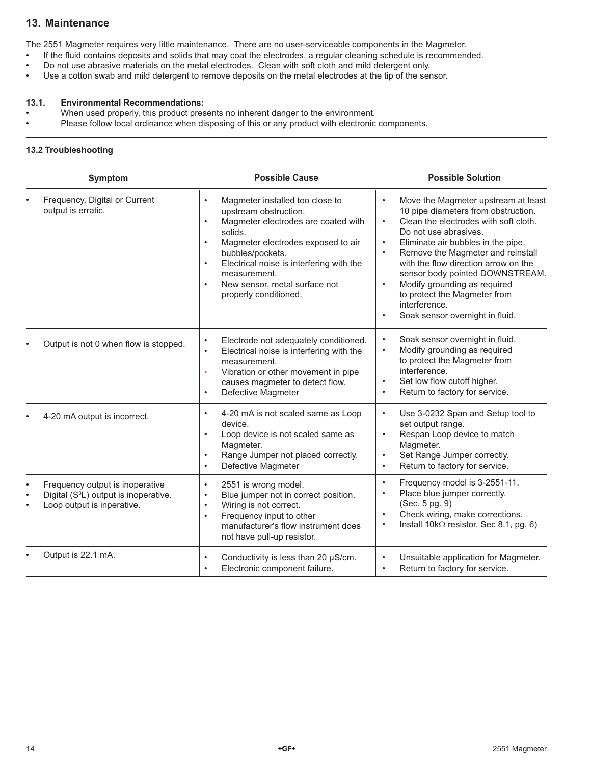## **13. Maintenance**

The 2551 Magmeter requires very little maintenance. There are no user-serviceable components in the Magmeter.

- If the fluid contains deposits and solids that may coat the electrodes, a regular cleaning schedule is recommended.
- Do not use abrasive materials on the metal electrodes. Clean with soft cloth and mild detergent only.
- Use a cotton swab and mild detergent to remove deposits on the metal electrodes at the tip of the sensor.

#### **13.1. Environmental Recommendations:**

- When used properly, this product presents no inherent danger to the environment.
- Please follow local ordinance when disposing of this or any product with electronic components.

### **13.2 Troubleshooting**

| <b>Symptom</b>                                                                                                                  | <b>Possible Cause</b>                                                                                                                                                                                                                                                                                                                                       | <b>Possible Solution</b>                                                                                                                                                                                                                                                                                                                                                                                                                                                                             |  |  |
|---------------------------------------------------------------------------------------------------------------------------------|-------------------------------------------------------------------------------------------------------------------------------------------------------------------------------------------------------------------------------------------------------------------------------------------------------------------------------------------------------------|------------------------------------------------------------------------------------------------------------------------------------------------------------------------------------------------------------------------------------------------------------------------------------------------------------------------------------------------------------------------------------------------------------------------------------------------------------------------------------------------------|--|--|
| Frequency, Digital or Current<br>output is erratic.                                                                             | Magmeter installed too close to<br>$\bullet$<br>upstream obstruction.<br>Magmeter electrodes are coated with<br>$\bullet$<br>solids.<br>Magmeter electrodes exposed to air<br>$\bullet$<br>bubbles/pockets.<br>Electrical noise is interfering with the<br>$\bullet$<br>measurement.<br>New sensor, metal surface not<br>$\bullet$<br>properly conditioned. | Move the Magmeter upstream at least<br>$\bullet$<br>10 pipe diameters from obstruction.<br>Clean the electrodes with soft cloth.<br>$\bullet$<br>Do not use abrasives.<br>Eliminate air bubbles in the pipe.<br>$\bullet$<br>Remove the Magmeter and reinstall<br>$\bullet$<br>with the flow direction arrow on the<br>sensor body pointed DOWNSTREAM.<br>Modify grounding as required<br>$\bullet$<br>to protect the Magmeter from<br>interference.<br>Soak sensor overnight in fluid.<br>$\bullet$ |  |  |
| Output is not 0 when flow is stopped.                                                                                           | Electrode not adequately conditioned.<br>$\bullet$<br>Electrical noise is interfering with the<br>$\bullet$<br>measurement.<br>Vibration or other movement in pipe<br>$\bullet$<br>causes magmeter to detect flow.<br>Defective Magmeter<br>$\bullet$                                                                                                       | Soak sensor overnight in fluid.<br>$\bullet$<br>Modify grounding as required<br>$\bullet$<br>to protect the Magmeter from<br>interference.<br>Set low flow cutoff higher.<br>$\bullet$<br>Return to factory for service.<br>$\bullet$                                                                                                                                                                                                                                                                |  |  |
| 4-20 mA output is incorrect.                                                                                                    | 4-20 mA is not scaled same as Loop<br>$\bullet$<br>device.<br>Loop device is not scaled same as<br>$\bullet$<br>Magmeter.<br>Range Jumper not placed correctly.<br>$\bullet$<br>Defective Magmeter<br>$\bullet$                                                                                                                                             | Use 3-0232 Span and Setup tool to<br>$\bullet$<br>set output range.<br>Respan Loop device to match<br>$\bullet$<br>Magmeter.<br>Set Range Jumper correctly.<br>$\bullet$<br>Return to factory for service.<br>$\bullet$                                                                                                                                                                                                                                                                              |  |  |
| Frequency output is inoperative<br>Digital (S <sup>3</sup> L) output is inoperative.<br>$\bullet$<br>Loop output is inperative. | 2551 is wrong model.<br>$\bullet$<br>Blue jumper not in correct position.<br>$\bullet$<br>Wiring is not correct.<br>$\bullet$<br>Frequency input to other<br>$\bullet$<br>manufacturer's flow instrument does<br>not have pull-up resistor.                                                                                                                 | Frequency model is 3-2551-11.<br>$\bullet$<br>Place blue jumper correctly.<br>$\bullet$<br>(Sec. 5 pg. 9)<br>Check wiring, make corrections.<br>$\bullet$<br>Install $10k\Omega$ resistor. Sec 8.1, pg. 6)<br>$\bullet$                                                                                                                                                                                                                                                                              |  |  |
| Output is 22.1 mA.                                                                                                              | Conductivity is less than 20 µS/cm.<br>$\bullet$<br>Electronic component failure.                                                                                                                                                                                                                                                                           | Unsuitable application for Magmeter.<br>$\bullet$<br>Return to factory for service.                                                                                                                                                                                                                                                                                                                                                                                                                  |  |  |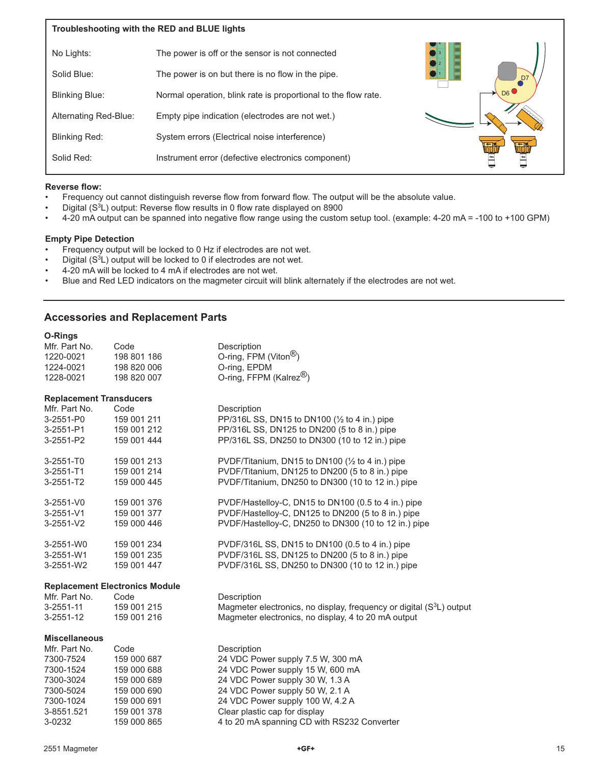| Troubleshooting with the RED and BLUE lights |                                                                |                |  |  |
|----------------------------------------------|----------------------------------------------------------------|----------------|--|--|
| No Lights:                                   | The power is off or the sensor is not connected                |                |  |  |
| Solid Blue:                                  | The power is on but there is no flow in the pipe.              | D <sub>7</sub> |  |  |
| <b>Blinking Blue:</b>                        | Normal operation, blink rate is proportional to the flow rate. |                |  |  |
| Alternating Red-Blue:                        | Empty pipe indication (electrodes are not wet.)                |                |  |  |
| Blinking Red:                                | System errors (Electrical noise interference)                  |                |  |  |
| Solid Red:                                   | Instrument error (defective electronics component)             |                |  |  |

#### **Reverse flow:**

- Frequency out cannot distinguish reverse flow from forward flow. The output will be the absolute value.
- Digital (S<sup>3</sup>L) output: Reverse flow results in 0 flow rate displayed on 8900
- 4-20 mA output can be spanned into negative flow range using the custom setup tool. (example: 4-20 mA = -100 to +100 GPM)

#### **Empty Pipe Detection**

- Frequency output will be locked to 0 Hz if electrodes are not wet.
- Digital  $(S^3L)$  output will be locked to 0 if electrodes are not wet.
- 4-20 mA will be locked to 4 mA if electrodes are not wet.
- Blue and Red LED indicators on the magmeter circuit will blink alternately if the electrodes are not wet.

### **Accessories and Replacement Parts**

| <b>O-Rings</b>                 |                                       |                                                                                  |
|--------------------------------|---------------------------------------|----------------------------------------------------------------------------------|
| Mfr. Part No.                  | Code                                  | Description                                                                      |
| 1220-0021                      | 198 801 186                           | O-ring, FPM (Viton <sup>®</sup> )                                                |
| 1224-0021                      | 198 820 006                           | O-ring, EPDM                                                                     |
| 1228-0021                      | 198 820 007                           | O-ring, FFPM (Kalrez <sup>®</sup> )                                              |
| <b>Replacement Transducers</b> |                                       |                                                                                  |
| Mfr. Part No.                  | Code                                  | Description                                                                      |
| 3-2551-P0                      | 159 001 211                           | PP/316L SS, DN15 to DN100 ( $\frac{1}{2}$ to 4 in.) pipe                         |
| 3-2551-P1                      | 159 001 212                           | PP/316L SS, DN125 to DN200 (5 to 8 in.) pipe                                     |
| 3-2551-P2                      | 159 001 444                           | PP/316L SS, DN250 to DN300 (10 to 12 in.) pipe                                   |
| 3-2551-T0                      | 159 001 213                           | PVDF/Titanium, DN15 to DN100 ( $\frac{1}{2}$ to 4 in.) pipe                      |
| $3 - 2551 - T1$                | 159 001 214                           | PVDF/Titanium, DN125 to DN200 (5 to 8 in.) pipe                                  |
| 3-2551-T2                      | 159 000 445                           | PVDF/Titanium, DN250 to DN300 (10 to 12 in.) pipe                                |
| 3-2551-V0                      | 159 001 376                           | PVDF/Hastelloy-C, DN15 to DN100 (0.5 to 4 in.) pipe                              |
| $3 - 2551 - V1$                | 159 001 377                           | PVDF/Hastelloy-C, DN125 to DN200 (5 to 8 in.) pipe                               |
| 3-2551-V2                      | 159 000 446                           | PVDF/Hastelloy-C, DN250 to DN300 (10 to 12 in.) pipe                             |
| 3-2551-W0                      | 159 001 234                           | PVDF/316L SS, DN15 to DN100 (0.5 to 4 in.) pipe                                  |
| 3-2551-W1                      | 159 001 235                           | PVDF/316L SS, DN125 to DN200 (5 to 8 in.) pipe                                   |
| 3-2551-W2                      | 159 001 447                           | PVDF/316L SS, DN250 to DN300 (10 to 12 in.) pipe                                 |
|                                | <b>Replacement Electronics Module</b> |                                                                                  |
| Mfr. Part No.                  | Code                                  | Description                                                                      |
| $3 - 2551 - 11$                | 159 001 215                           | Magmeter electronics, no display, frequency or digital (S <sup>3</sup> L) output |
| 3-2551-12                      | 159 001 216                           | Magmeter electronics, no display, 4 to 20 mA output                              |
| <b>Miscellaneous</b>           |                                       |                                                                                  |
| Mfr. Part No.                  | Code                                  | Description                                                                      |
| 7300-7524                      | 159 000 687                           | 24 VDC Power supply 7.5 W, 300 mA                                                |
| 7300-1524                      | 159 000 688                           | 24 VDC Power supply 15 W, 600 mA                                                 |
| 7300-3024                      | 159 000 689                           | 24 VDC Power supply 30 W, 1.3 A                                                  |
| 7300-5024                      | 159 000 690                           | 24 VDC Power supply 50 W, 2.1 A                                                  |
| 7300-1024                      | 159 000 691                           | 24 VDC Power supply 100 W, 4.2 A                                                 |
| 3-8551.521                     | 159 001 378                           | Clear plastic cap for display                                                    |
| 3-0232                         | 159 000 865                           | 4 to 20 mA spanning CD with RS232 Converter                                      |

4 to 20 mA spanning CD with RS232 Converter